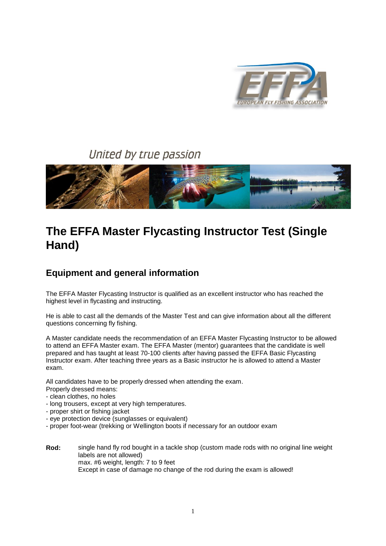

# United by true passion



# **The EFFA Master Flycasting Instructor Test (Single Hand)**

# **Equipment and general information**

The EFFA Master Flycasting Instructor is qualified as an excellent instructor who has reached the highest level in flycasting and instructing.

He is able to cast all the demands of the Master Test and can give information about all the different questions concerning fly fishing.

A Master candidate needs the recommendation of an EFFA Master Flycasting Instructor to be allowed to attend an EFFA Master exam. The EFFA Master (mentor) guarantees that the candidate is well prepared and has taught at least 70-100 clients after having passed the EFFA Basic Flycasting Instructor exam. After teaching three years as a Basic instructor he is allowed to attend a Master exam.

All candidates have to be properly dressed when attending the exam.

- Properly dressed means:
- clean clothes, no holes
- long trousers, except at very high temperatures.
- proper shirt or fishing jacket
- eye protection device (sunglasses or equivalent)
- proper foot-wear (trekking or Wellington boots if necessary for an outdoor exam
- **Rod:** single hand fly rod bought in a tackle shop (custom made rods with no original line weight labels are not allowed) max. #6 weight, length: 7 to 9 feet Except in case of damage no change of the rod during the exam is allowed!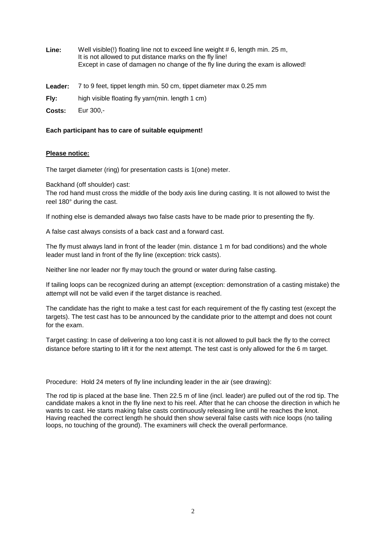| Line: | Well visible(!) floating line not to exceed line weight # 6, length min. 25 m,<br>It is not allowed to put distance marks on the fly line! |
|-------|--------------------------------------------------------------------------------------------------------------------------------------------|
|       | Except in case of damagen no change of the fly line during the exam is allowed!                                                            |
|       |                                                                                                                                            |

- **Leader:** 7 to 9 feet, tippet length min. 50 cm, tippet diameter max 0.25 mm
- **Fly:** high visible floating fly yarn(min. length 1 cm)
- **Costs:** Eur 300,-

#### **Each participant has to care of suitable equipment!**

#### **Please notice:**

The target diameter (ring) for presentation casts is 1(one) meter.

Backhand (off shoulder) cast:

The rod hand must cross the middle of the body axis line during casting. It is not allowed to twist the reel 180° during the cast.

If nothing else is demanded always two false casts have to be made prior to presenting the fly.

A false cast always consists of a back cast and a forward cast.

The fly must always land in front of the leader (min. distance 1 m for bad conditions) and the whole leader must land in front of the fly line (exception: trick casts).

Neither line nor leader nor fly may touch the ground or water during false casting.

If tailing loops can be recognized during an attempt (exception: demonstration of a casting mistake) the attempt will not be valid even if the target distance is reached.

The candidate has the right to make a test cast for each requirement of the fly casting test (except the targets). The test cast has to be announced by the candidate prior to the attempt and does not count for the exam.

Target casting: In case of delivering a too long cast it is not allowed to pull back the fly to the correct distance before starting to lift it for the next attempt. The test cast is only allowed for the 6 m target.

Procedure: Hold 24 meters of fly line inclunding leader in the air (see drawing):

The rod tip is placed at the base line. Then 22.5 m of line (incl. leader) are pulled out of the rod tip. The candidate makes a knot in the fly line next to his reel. After that he can choose the direction in which he wants to cast. He starts making false casts continuously releasing line until he reaches the knot. Having reached the correct length he should then show several false casts with nice loops (no tailing loops, no touching of the ground). The examiners will check the overall performance.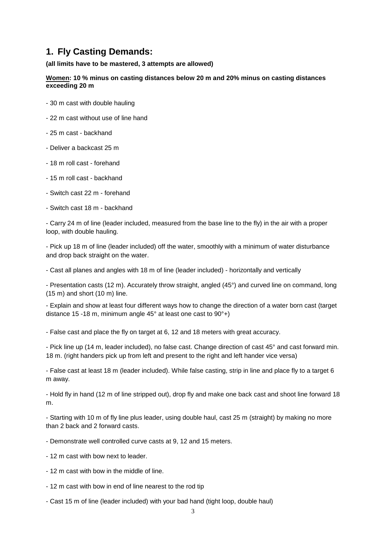### **1. Fly Casting Demands:**

**(all limits have to be mastered, 3 attempts are allowed)**

**[Women:](http://www.effa.info/) 10 % minus on casting distances below 20 m and 20% minus on casting distances exceeding 20 m**

- 30 m cast with double hauling
- 22 m cast without use of line hand
- 25 m cast backhand
- Deliver a backcast 25 m
- 18 m roll cast forehand
- 15 m roll cast backhand
- Switch cast 22 m forehand
- Switch cast 18 m backhand

- Carry 24 m of line (leader included, measured from the base line to the fly) in the air with a proper loop, with double hauling.

- Pick up 18 m of line (leader included) off the water, smoothly with a minimum of water disturbance and drop back straight on the water.

- Cast all planes and angles with 18 m of line (leader included) - horizontally and vertically

- Presentation casts (12 m). Accurately throw straight, angled (45°) and curved line on command, long (15 m) and short (10 m) line.

- Explain and show at least four different ways how to change the direction of a water born cast (target distance 15 -18 m, minimum angle 45° at least one cast to 90°+)

- False cast and place the fly on target at 6, 12 and 18 meters with great accuracy.

- Pick line up (14 m, leader included), no false cast. Change direction of cast 45° and cast forward min. 18 m. (right handers pick up from left and present to the right and left hander vice versa)

- False cast at least 18 m (leader included). While false casting, strip in line and place fly to a target 6 m away.

- Hold fly in hand (12 m of line stripped out), drop fly and make one back cast and shoot line forward 18 m.

- Starting with 10 m of fly line plus leader, using double haul, cast 25 m (straight) by making no more than 2 back and 2 forward casts.

- Demonstrate well controlled curve casts at 9, 12 and 15 meters.
- 12 m cast with bow next to leader.
- 12 m cast with bow in the middle of line.
- 12 m cast with bow in end of line nearest to the rod tip
- Cast 15 m of line (leader included) with your bad hand (tight loop, double haul)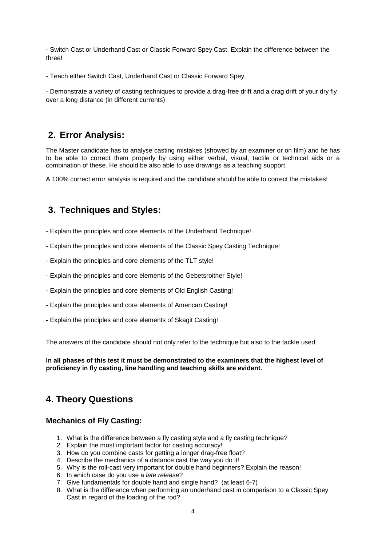- Switch Cast or Underhand Cast or Classic Forward Spey Cast. Explain the difference between the three!

- Teach either Switch Cast, Underhand Cast or Classic Forward Spey.

- Demonstrate a variety of casting techniques to provide a drag-free drift and a drag drift of your dry fly over a long distance (in different currents)

## **2. Error Analysis:**

The Master candidate has to analyse casting mistakes (showed by an examiner or on film) and he has to be able to correct them properly by using either verbal, visual, tactile or technical aids or a combination of these. He should be also able to use drawings as a teaching support.

A 100% correct error analysis is required and the candidate should be able to correct the mistakes!

## **3. Techniques and Styles:**

- Explain the principles and core elements of the Underhand Technique!
- Explain the principles and core elements of the Classic Spey Casting Technique!
- Explain the principles and core elements of the TLT style!
- Explain the principles and core elements of the Gebetsroither Style!
- Explain the principles and core elements of Old English Casting!
- Explain the principles and core elements of American Casting!
- Explain the principles and core elements of Skagit Casting!

The answers of the candidate should not only refer to the technique but also to the tackle used.

**In all phases of this test it must be demonstrated to the examiners that the highest level of proficiency in fly casting, line handling and teaching skills are evident.**

## **4. Theory Questions**

#### **Mechanics of Fly Casting:**

- 1. What is the difference between a fly casting style and a fly casting technique?
- 2. Explain the most important factor for casting accuracy!
- 3. How do you combine casts for getting a longer drag-free float?
- 4. Describe the mechanics of a distance cast the way you do it!
- 5. Why is the roll-cast very important for double hand beginners? Explain the reason!
- 6. In which case do you use a *late release*?
- 7. Give fundamentals for double hand and single hand? (at least 6-7)
- 8. What is the difference when performing an underhand cast in comparison to a Classic Spey Cast in regard of the loading of the rod?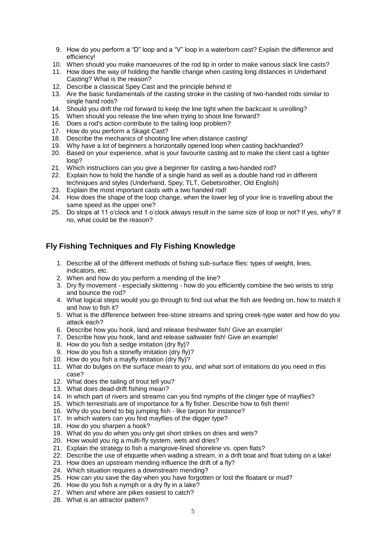- 9. How do you perform a "D" loop and a "V" loop in a waterborn cast? Explain the difference and efficiency!
- 10. When should you make manoeuvres of the rod tip in order to make various slack line casts?
- 11. How does the way of holding the handle change when casting long distances in Underhand Casting? What is the reason?
- 12. Describe a classical Spey Cast and the principle behind it!
- 13. Are the basic fundamentals of the casting stroke in the casting of two-handed rods similar to single hand rods?
- 14. Should you drift the rod forward to keep the line tight when the backcast is unrolling?
- 15. When should you release the line when trying to shoot line forward?
- 16. Does a rod's action contribute to the tailing loop problem?
- 17. How do you perform a Skagit Cast?
- 18. Describe the mechanics of shooting line when distance casting!
- 19. Why have a lot of beginners a horizontally opened loop when casting backhanded?
- 20. Based on your experience, what is your favourite casting aid to make the client cast a tighter loop?
- 21. Which instructions can you give a beginner for casting a two-handed rod?
- 22. Explain how to hold the handle of a single hand as well as a double hand rod in different techniques and styles (Underhand, Spey, TLT, Gebetsroither, Old English)
- 23. Explain the most important casts with a two handed rod!
- 24. How does the shape of the loop change, when the lower leg of your line is travelling about the same speed as the upper one?
- 25. Do stops at 11 o'clock and 1 o'clock *always* result in the same size of loop or not? If yes, why? If no, what could be the reason?

#### **Fly Fishing Techniques and Fly Fishing Knowledge**

- 1. Describe all of the different methods of fishing sub-surface flies: types of weight, lines, indicators, etc.
- 2. When and how do you perform a mending of the line?
- 3. Dry fly movement especially skittering how do you efficiently combine the two wrists to strip and bounce the rod?
- 4. What logical steps would you go through to find out what the fish are feeding on, how to match it and how to fish it?
- 5. What is the difference between free-stone streams and spring creek-type water and how do you attack each?
- 6. Describe how you hook, land and release freshwater fish! Give an example!
- 7. Describe how you hook, land and release saltwater fish! Give an example!
	- 8. How do you fish a sedge imitation (dry fly)?
	- 9. How do you fish a stonefly imitation (dry fly)?
	- 10. How do you fish a mayfly imitation (dry fly)?
	- 11. What do bulges on the surface mean to you, and what sort of imitations do you need in this case?
	- 12. What does the tailing of trout tell you?
	- 13. What does dead-drift fishing mean?
	- 14. In which part of rivers and streams can you find nymphs of the clinger type of mayflies?
	- 15. Which terrestrials are of importance for a fly fisher. Describe how to fish them!
	- 16. Why do you bend to big jumping fish like tarpon for instance?
	- 17. In which waters can you find mayflies of the digger type?
	- 18. How do you sharpen a hook?
	- 19. What do you do when you only get short strikes on dries and wets?
	- 20. How would you rig a multi-fly system, wets and dries?
	- 21. Explain the strategy to fish a mangrove-lined shoreline vs. open flats?
	- 22. Describe the use of etiquette when wading a stream, in a drift boat and float tubing on a lake!
	- 23. How does an upstream mending influence the drift of a fly?
	- 24. Which situation requires a downstream mending?
	- 25. How can you save the day when you have forgotten or lost the floatant or mud?
	- 26. How do you fish a nymph or a dry fly in a lake?
	- 27. When and where are pikes easiest to catch?
	- 28. What is an attractor pattern?